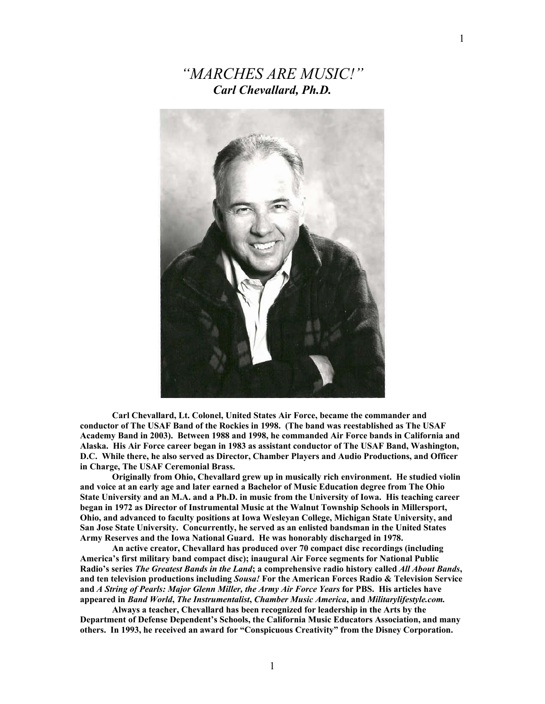*"MARCHES ARE MUSIC!" Carl Chevallard, Ph.D.* 



**Carl Chevallard, Lt. Colonel, United States Air Force, became the commander and conductor of The USAF Band of the Rockies in 1998. (The band was reestablished as The USAF Academy Band in 2003). Between 1988 and 1998, he commanded Air Force bands in California and Alaska. His Air Force career began in 1983 as assistant conductor of The USAF Band, Washington, D.C. While there, he also served as Director, Chamber Players and Audio Productions, and Officer in Charge, The USAF Ceremonial Brass.** 

**Originally from Ohio, Chevallard grew up in musically rich environment. He studied violin and voice at an early age and later earned a Bachelor of Music Education degree from The Ohio State University and an M.A. and a Ph.D. in music from the University of Iowa. His teaching career began in 1972 as Director of Instrumental Music at the Walnut Township Schools in Millersport, Ohio, and advanced to faculty positions at Iowa Wesleyan College, Michigan State University, and San Jose State University. Concurrently, he served as an enlisted bandsman in the United States Army Reserves and the Iowa National Guard. He was honorably discharged in 1978.** 

 **An active creator, Chevallard has produced over 70 compact disc recordings (including America's first military band compact disc); inaugural Air Force segments for National Public Radio's series** *The Greatest Bands in the Land***; a comprehensive radio history called** *All About Bands***, and ten television productions including** *Sousa!* **For the American Forces Radio & Television Service and** *A String of Pearls: Major Glenn Miller, the Army Air Force Years* **for PBS. His articles have appeared in** *Band World***,** *The Instrumentalist***,** *Chamber Music America***, and** *Militarylifestyle.com.* 

**Always a teacher, Chevallard has been recognized for leadership in the Arts by the Department of Defense Dependent's Schools, the California Music Educators Association, and many others. In 1993, he received an award for "Conspicuous Creativity" from the Disney Corporation.**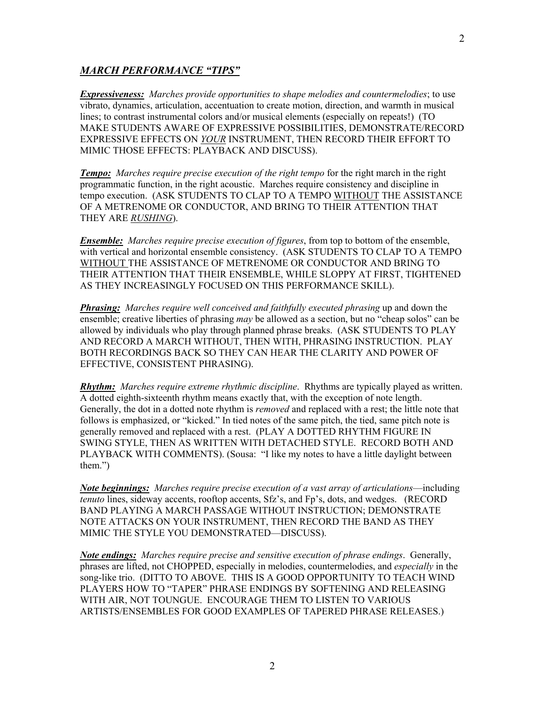## *MARCH PERFORMANCE "TIPS"*

*Expressiveness: Marches provide opportunities to shape melodies and countermelodies*; to use vibrato, dynamics, articulation, accentuation to create motion, direction, and warmth in musical lines; to contrast instrumental colors and/or musical elements (especially on repeats!) (TO MAKE STUDENTS AWARE OF EXPRESSIVE POSSIBILITIES, DEMONSTRATE/RECORD EXPRESSIVE EFFECTS ON *YOUR* INSTRUMENT, THEN RECORD THEIR EFFORT TO MIMIC THOSE EFFECTS: PLAYBACK AND DISCUSS).

*Tempo: Marches require precise execution of the right tempo* for the right march in the right programmatic function, in the right acoustic. Marches require consistency and discipline in tempo execution. (ASK STUDENTS TO CLAP TO A TEMPO WITHOUT THE ASSISTANCE OF A METRENOME OR CONDUCTOR, AND BRING TO THEIR ATTENTION THAT THEY ARE *RUSHING*).

*Ensemble: Marches require precise execution of figures*, from top to bottom of the ensemble, with vertical and horizontal ensemble consistency. (ASK STUDENTS TO CLAP TO A TEMPO WITHOUT THE ASSISTANCE OF METRENOME OR CONDUCTOR AND BRING TO THEIR ATTENTION THAT THEIR ENSEMBLE, WHILE SLOPPY AT FIRST, TIGHTENED AS THEY INCREASINGLY FOCUSED ON THIS PERFORMANCE SKILL).

*Phrasing: Marches require well conceived and faithfully executed phrasing* up and down the ensemble; creative liberties of phrasing *may* be allowed as a section, but no "cheap solos" can be allowed by individuals who play through planned phrase breaks. (ASK STUDENTS TO PLAY AND RECORD A MARCH WITHOUT, THEN WITH, PHRASING INSTRUCTION. PLAY BOTH RECORDINGS BACK SO THEY CAN HEAR THE CLARITY AND POWER OF EFFECTIVE, CONSISTENT PHRASING).

*Rhythm: Marches require extreme rhythmic discipline*. Rhythms are typically played as written. A dotted eighth-sixteenth rhythm means exactly that, with the exception of note length. Generally, the dot in a dotted note rhythm is *removed* and replaced with a rest; the little note that follows is emphasized, or "kicked." In tied notes of the same pitch, the tied, same pitch note is generally removed and replaced with a rest. (PLAY A DOTTED RHYTHM FIGURE IN SWING STYLE, THEN AS WRITTEN WITH DETACHED STYLE. RECORD BOTH AND PLAYBACK WITH COMMENTS). (Sousa: "I like my notes to have a little daylight between them.")

*Note beginnings: Marches require precise execution of a vast array of articulations*—including *tenuto* lines, sideway accents, rooftop accents, Sfz's, and Fp's, dots, and wedges. (RECORD BAND PLAYING A MARCH PASSAGE WITHOUT INSTRUCTION; DEMONSTRATE NOTE ATTACKS ON YOUR INSTRUMENT, THEN RECORD THE BAND AS THEY MIMIC THE STYLE YOU DEMONSTRATED—DISCUSS).

*Note endings: Marches require precise and sensitive execution of phrase endings*. Generally, phrases are lifted, not CHOPPED, especially in melodies, countermelodies, and *especially* in the song-like trio. (DITTO TO ABOVE. THIS IS A GOOD OPPORTUNITY TO TEACH WIND PLAYERS HOW TO "TAPER" PHRASE ENDINGS BY SOFTENING AND RELEASING WITH AIR, NOT TOUNGUE. ENCOURAGE THEM TO LISTEN TO VARIOUS ARTISTS/ENSEMBLES FOR GOOD EXAMPLES OF TAPERED PHRASE RELEASES.)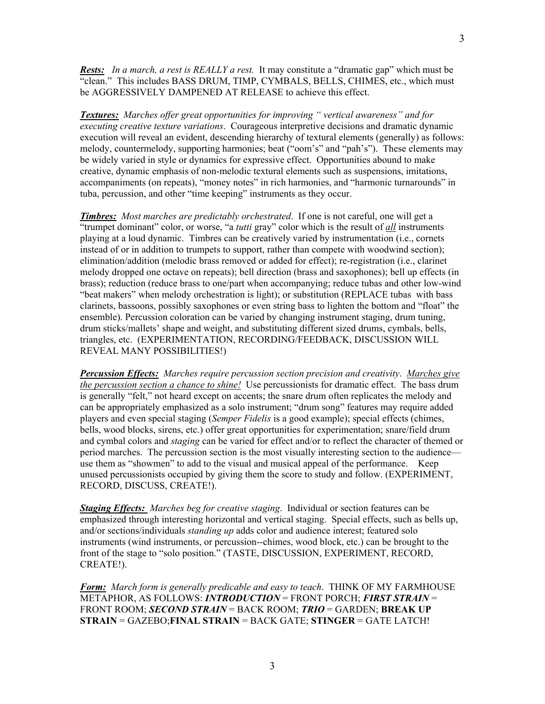*Rests: In a march, a rest is REALLY a rest.* It may constitute a "dramatic gap" which must be "clean." This includes BASS DRUM, TIMP, CYMBALS, BELLS, CHIMES, etc., which must be AGGRESSIVELY DAMPENED AT RELEASE to achieve this effect.

*Textures: Marches offer great opportunities for improving " vertical awareness" and for executing creative texture variations*. Courageous interpretive decisions and dramatic dynamic execution will reveal an evident, descending hierarchy of textural elements (generally) as follows: melody, countermelody, supporting harmonies; beat ("oom's" and "pah's"). These elements may be widely varied in style or dynamics for expressive effect. Opportunities abound to make creative, dynamic emphasis of non-melodic textural elements such as suspensions, imitations, accompaniments (on repeats), "money notes" in rich harmonies, and "harmonic turnarounds" in tuba, percussion, and other "time keeping" instruments as they occur.

*Timbres: Most marches are predictably orchestrated*. If one is not careful, one will get a "trumpet dominant" color, or worse, "a *tutti* gray" color which is the result of *all* instruments playing at a loud dynamic. Timbres can be creatively varied by instrumentation (i.e., cornets instead of or in addition to trumpets to support, rather than compete with woodwind section); elimination/addition (melodic brass removed or added for effect); re-registration (i.e., clarinet melody dropped one octave on repeats); bell direction (brass and saxophones); bell up effects (in brass); reduction (reduce brass to one/part when accompanying; reduce tubas and other low-wind "beat makers" when melody orchestration is light); or substitution (REPLACE tubas with bass clarinets, bassoons, possibly saxophones or even string bass to lighten the bottom and "float" the ensemble). Percussion coloration can be varied by changing instrument staging, drum tuning, drum sticks/mallets' shape and weight, and substituting different sized drums, cymbals, bells, triangles, etc. (EXPERIMENTATION, RECORDING/FEEDBACK, DISCUSSION WILL REVEAL MANY POSSIBILITIES!)

*Percussion Effects: Marches require percussion section precision and creativity*. *Marches give the percussion section a chance to shine!* Use percussionists for dramatic effect. The bass drum is generally "felt," not heard except on accents; the snare drum often replicates the melody and can be appropriately emphasized as a solo instrument; "drum song" features may require added players and even special staging (*Semper Fidelis* is a good example); special effects (chimes, bells, wood blocks, sirens, etc.) offer great opportunities for experimentation; snare/field drum and cymbal colors and *staging* can be varied for effect and/or to reflect the character of themed or period marches. The percussion section is the most visually interesting section to the audience use them as "showmen" to add to the visual and musical appeal of the performance. Keep unused percussionists occupied by giving them the score to study and follow. (EXPERIMENT, RECORD, DISCUSS, CREATE!).

*Staging Effects: Marches beg for creative staging*. Individual or section features can be emphasized through interesting horizontal and vertical staging. Special effects, such as bells up, and/or sections/individuals *standing up* adds color and audience interest; featured solo instruments (wind instruments, or percussion--chimes, wood block, etc.) can be brought to the front of the stage to "solo position." (TASTE, DISCUSSION, EXPERIMENT, RECORD, CREATE!).

*Form: March form is generally predicable and easy to teach*. THINK OF MY FARMHOUSE METAPHOR, AS FOLLOWS: *INTRODUCTION* = FRONT PORCH; *FIRST STRAIN* = FRONT ROOM; *SECOND STRAIN* = BACK ROOM; *TRIO* = GARDEN; **BREAK UP STRAIN** = GAZEBO;**FINAL STRAIN** = BACK GATE; **STINGER** = GATE LATCH!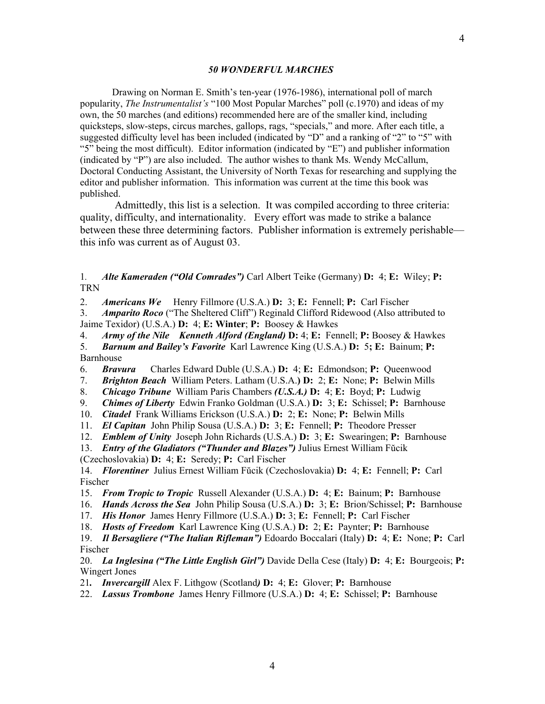## *50 WONDERFUL MARCHES*

 Drawing on Norman E. Smith's ten-year (1976-1986), international poll of march popularity, *The Instrumentalist's* "100 Most Popular Marches" poll (c.1970) and ideas of my own, the 50 marches (and editions) recommended here are of the smaller kind, including quicksteps, slow-steps, circus marches, gallops, rags, "specials," and more. After each title, a suggested difficulty level has been included (indicated by "D" and a ranking of "2" to "5" with "5" being the most difficult). Editor information (indicated by "E") and publisher information (indicated by "P") are also included. The author wishes to thank Ms. Wendy McCallum, Doctoral Conducting Assistant, the University of North Texas for researching and supplying the editor and publisher information. This information was current at the time this book was published.

 Admittedly, this list is a selection. It was compiled according to three criteria: quality, difficulty, and internationality. Every effort was made to strike a balance between these three determining factors. Publisher information is extremely perishable this info was current as of August 03.

1*. Alte Kameraden ("Old Comrades")* Carl Albert Teike (Germany) **D:** 4; **E:** Wiley; **P:**  TRN

2. *Americans We* Henry Fillmore (U.S.A.) **D:** 3; **E:** Fennell; **P:** Carl Fischer

3. *Amparito Roco* ("The Sheltered Cliff") Reginald Clifford Ridewood (Also attributed to Jaime Texidor) (U.S.A.) **D:** 4; **E: Winter**; **P:** Boosey & Hawkes

4. *Army of the Nile Kenneth Alford (England)* **D:** 4; **E:** Fennell; **P:** Boosey & Hawkes

5. *Barnum and Bailey's Favorite* Karl Lawrence King (U.S.A.) **D:** 5**; E:** Bainum; **P:**  Barnhouse

- 6. *Bravura* Charles Edward Duble (U.S.A.) **D:** 4; **E:** Edmondson; **P:** Queenwood
- 7. *Brighton Beach* William Peters. Latham (U.S.A.**) D:** 2; **E:** None; **P:** Belwin Mills
- 8. *Chicago Tribune* William Paris Chambers *(U.S.A.)* **D:** 4; **E:** Boyd; **P:** Ludwig
- 9. *Chimes of Liberty* Edwin Franko Goldman (U.S.A.) **D:** 3; **E:** Schissel; **P:** Barnhouse
- 10. *Citadel* Frank Williams Erickson (U.S.A.) **D:** 2; **E:** None; **P:** Belwin Mills
- 11. *El Capitan* John Philip Sousa (U.S.A.) **D:** 3; **E:** Fennell; **P:** Theodore Presser
- 12. *Emblem of Unity* Joseph John Richards (U.S.A.) **D:** 3; **E:** Swearingen; **P:** Barnhouse

13. *Entry of the Gladiators ("Thunder and Blazes")* Julius Ernest William Fŭcik

(Czechoslovakia) **D:** 4; **E:** Seredy; **P:** Carl Fischer

14. *Florentiner* Julius Ernest William Fŭcik (Czechoslovakia) **D:** 4; **E:** Fennell; **P:** Carl Fischer

- 15. *From Tropic to Tropic* Russell Alexander (U.S.A.) **D:** 4; **E:** Bainum; **P:** Barnhouse
- 16. *Hands Across the Sea* John Philip Sousa (U.S.A.) **D:** 3; **E:** Brion/Schissel; **P:** Barnhouse
- 17. *His Honor* James Henry Fillmore (U.S.A.) **D:** 3; **E:** Fennell; **P:** Carl Fischer

18. *Hosts of Freedom* Karl Lawrence King (U.S.A.) **D:** 2; **E:** Paynter; **P:** Barnhouse

19. *Il Bersagliere ("The Italian Rifleman")* Edoardo Boccalari (Italy) **D:** 4; **E:** None; **P:** Carl Fischer

20. *La Inglesina ("The Little English Girl")* Davide Della Cese (Italy) **D:** 4; **E:** Bourgeois; **P:** Wingert Jones

21*.**Invercargill* Alex F. Lithgow (Scotland*)* **D:** 4; **E:** Glover; **P:** Barnhouse

22. *Lassus Trombone* James Henry Fillmore (U.S.A.) **D:** 4; **E:** Schissel; **P:** Barnhouse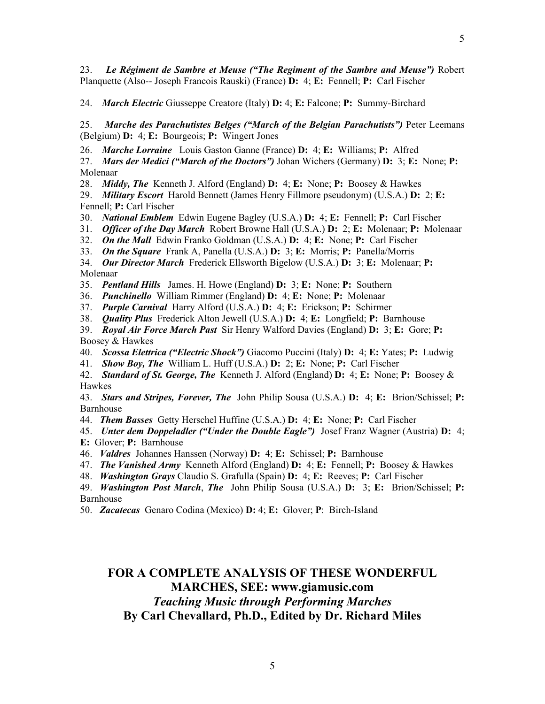23. *Le Régiment de Sambre et Meuse ("The Regiment of the Sambre and Meuse")* Robert Planquette (Also-- Joseph Francois Rauski) (France) **D:** 4; **E:** Fennell; **P:** Carl Fischer

24. *March Electric* Giusseppe Creatore (Italy) **D:** 4; **E:** Falcone; **P:** Summy-Birchard

25. *Marche des Parachutistes Belges ("March of the Belgian Parachutists")* Peter Leemans (Belgium) **D:** 4; **E:** Bourgeois; **P:** Wingert Jones

26. *Marche Lorraine* Louis Gaston Ganne (France) **D:** 4; **E:** Williams; **P:** Alfred

27. *Mars der Medici ("March of the Doctors")* Johan Wichers (Germany) **D:** 3; **E:** None; **P:** Molenaar

28. *Middy, The* Kenneth J. Alford (England) **D:** 4; **E:** None; **P:** Boosey & Hawkes

29. *Military Escort* Harold Bennett (James Henry Fillmore pseudonym) (U.S.A.) **D:** 2; **E:**  Fennell; **P:** Carl Fischer

30. *National Emblem* Edwin Eugene Bagley (U.S.A.) **D:** 4; **E:** Fennell; **P:** Carl Fischer

31. *Officer of the Day March* Robert Browne Hall (U.S.A.) **D:** 2; **E:** Molenaar; **P:** Molenaar

32. *On the Mall* Edwin Franko Goldman (U.S.A.) **D:** 4; **E:** None; **P:** Carl Fischer

33. *On the Square* Frank A, Panella (U.S.A.) **D:** 3; **E:** Morris; **P:** Panella/Morris

34. *Our Director March* Frederick Ellsworth Bigelow (U.S.A.) **D:** 3; **E:** Molenaar; **P:** Molenaar

35. *Pentland Hills* James. H. Howe (England) **D:** 3; **E:** None; **P:** Southern

36. *Punchinello* William Rimmer (England) **D:** 4; **E:** None; **P:** Molenaar

37. *Purple Carnival* Harry Alford (U.S.A.) **D:** 4; **E:** Erickson; **P:** Schirmer

38. *Quality Plus* Frederick Alton Jewell (U.S.A.) **D:** 4; **E:** Longfield; **P:** Barnhouse

39. *Royal Air Force March Past* Sir Henry Walford Davies (England) **D:** 3; **E:** Gore; **P:** Boosey & Hawkes

40. *Scossa Elettrica ("Electric Shock")* Giacomo Puccini (Italy) **D:** 4; **E:** Yates; **P:** Ludwig

41. *Show Boy, The* William L. Huff (U.S.A.) **D:** 2; **E:** None; **P:** Carl Fischer

42. *Standard of St. George, The* Kenneth J. Alford (England) **D:** 4; **E:** None; **P:** Boosey & Hawkes

43. *Stars and Stripes, Forever, The* John Philip Sousa (U.S.A.) **D:** 4; **E:** Brion/Schissel; **P:** Barnhouse

44. *Them Basses* Getty Herschel Huffine (U.S.A.) **D:** 4; **E:** None; **P:** Carl Fischer

45. *Unter dem Doppeladler ("Under the Double Eagle")* Josef Franz Wagner (Austria) **D:** 4; **E:** Glover; **P:** Barnhouse

46. *Valdres* Johannes Hanssen (Norway) **D: 4**; **E:** Schissel; **P:** Barnhouse

47. *The Vanished Army* Kenneth Alford (England) **D:** 4; **E:** Fennell; **P:** Boosey & Hawkes

48. *Washington Grays* Claudio S. Grafulla (Spain) **D:** 4; **E:** Reeves; **P:** Carl Fischer

49. *Washington Post March*, *The* John Philip Sousa (U.S.A.) **D:** 3; **E:** Brion/Schissel; **P:** Barnhouse

50. *Zacatecas* Genaro Codina (Mexico) **D:** 4; **E:** Glover; **P**: Birch-Island

## **FOR A COMPLETE ANALYSIS OF THESE WONDERFUL MARCHES, SEE: www.giamusic.com**  *Teaching Music through Performing Marches*  **By Carl Chevallard, Ph.D., Edited by Dr. Richard Miles**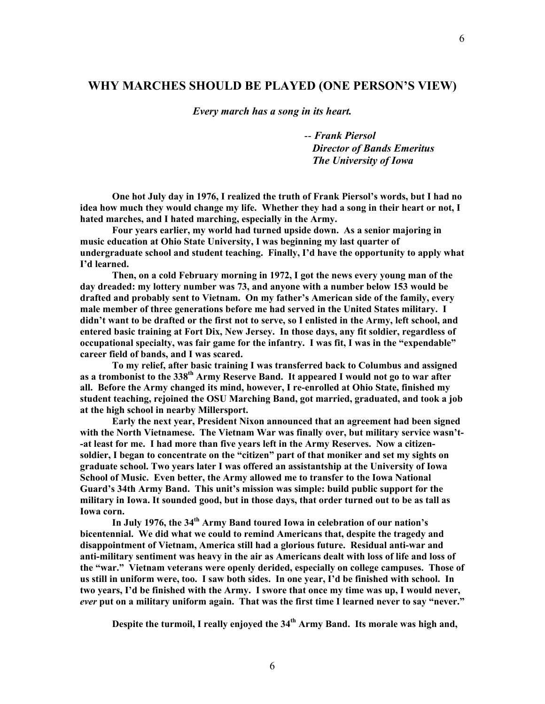## **WHY MARCHES SHOULD BE PLAYED (ONE PERSON'S VIEW)**

*Every march has a song in its heart.* 

-- *Frank Piersol Director of Bands Emeritus The University of Iowa* 

**One hot July day in 1976, I realized the truth of Frank Piersol's words, but I had no idea how much they would change my life. Whether they had a song in their heart or not, I hated marches, and I hated marching, especially in the Army.** 

**Four years earlier, my world had turned upside down. As a senior majoring in music education at Ohio State University, I was beginning my last quarter of undergraduate school and student teaching. Finally, I'd have the opportunity to apply what I'd learned.** 

**Then, on a cold February morning in 1972, I got the news every young man of the day dreaded: my lottery number was 73, and anyone with a number below 153 would be drafted and probably sent to Vietnam. On my father's American side of the family, every male member of three generations before me had served in the United States military. I didn't want to be drafted or the first not to serve, so I enlisted in the Army, left school, and entered basic training at Fort Dix, New Jersey. In those days, any fit soldier, regardless of occupational specialty, was fair game for the infantry. I was fit, I was in the "expendable" career field of bands, and I was scared.** 

**To my relief, after basic training I was transferred back to Columbus and assigned as a trombonist to the 338th Army Reserve Band. It appeared I would not go to war after all. Before the Army changed its mind, however, I re-enrolled at Ohio State, finished my student teaching, rejoined the OSU Marching Band, got married, graduated, and took a job at the high school in nearby Millersport.** 

**Early the next year, President Nixon announced that an agreement had been signed with the North Vietnamese. The Vietnam War was finally over, but military service wasn't- -at least for me. I had more than five years left in the Army Reserves. Now a citizensoldier, I began to concentrate on the "citizen" part of that moniker and set my sights on graduate school. Two years later I was offered an assistantship at the University of Iowa School of Music. Even better, the Army allowed me to transfer to the Iowa National Guard's 34th Army Band. This unit's mission was simple: build public support for the military in Iowa. It sounded good, but in those days, that order turned out to be as tall as Iowa corn.** 

**In July 1976, the 34th Army Band toured Iowa in celebration of our nation's bicentennial. We did what we could to remind Americans that, despite the tragedy and disappointment of Vietnam, America still had a glorious future. Residual anti-war and anti-military sentiment was heavy in the air as Americans dealt with loss of life and loss of the "war." Vietnam veterans were openly derided, especially on college campuses. Those of us still in uniform were, too. I saw both sides. In one year, I'd be finished with school. In two years, I'd be finished with the Army. I swore that once my time was up, I would never,**  *ever* **put on a military uniform again. That was the first time I learned never to say "never."** 

**Despite the turmoil, I really enjoyed the 34th Army Band. Its morale was high and,**